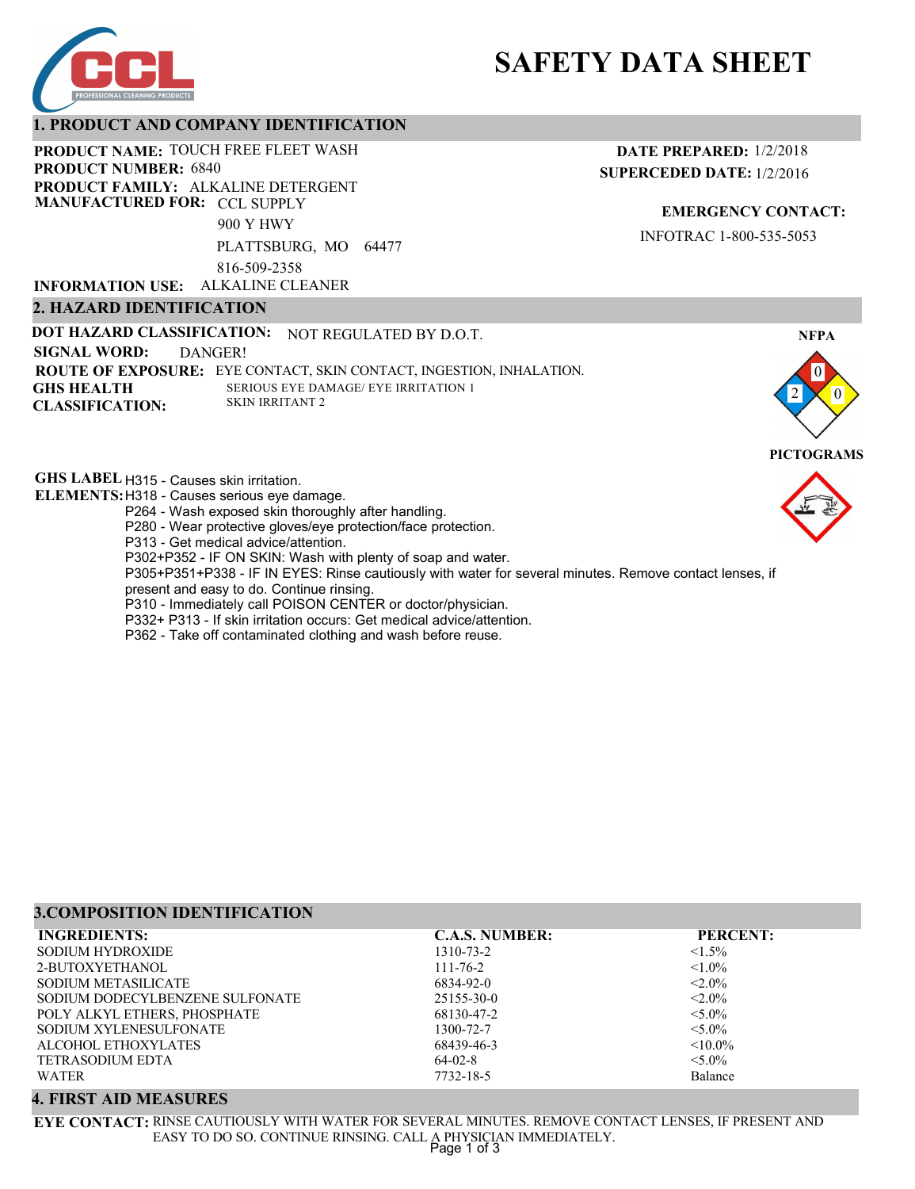# **SAFETY DATA SHEET**

**DATE PREPARED:** 1/2/2018 **SUPERCEDED DATE:** 1/2/2016



## **1. PRODUCT AND COMPANY IDENTIFICATION**

**PRODUCT NAME: TOUCH FREE FLEET WASH PRODUCT FAMILY: ALKALINE DETERGENT PRODUCT NUMBER:** 6840 **MANUFACTURED FOR:** CCL SUPPLY<br>
EMERGENCY CONTACT: 900 Y HWY PLATTSBURG, MO 64477 INFOTRAC 1-800-535-5053

816-509-2358

**INFORMATION USE: ALKALINE CLEANER** 

## **2. HAZARD IDENTIFICATION**

**DOT HAZARD CLASSIFICATION:** NOT REGULATED BY D.O.T. **GHS HEALTH CLASSIFICATION: ROUTE OF EXPOSURE:** EYE CONTACT, SKIN CONTACT, INGESTION, INHALATION. SERIOUS EYE DAMAGE/ EYE IRRITATION 1 SKIN IRRITANT 2 **SIGNAL WORD:** DANGER!

**GHS LABEL**  H315 - Causes skin irritation.

**ELEMENTS:** H318 - Causes serious eye damage.

P264 - Wash exposed skin thoroughly after handling.

P280 - Wear protective gloves/eye protection/face protection.

P313 - Get medical advice/attention.

P302+P352 - IF ON SKIN: Wash with plenty of soap and water.

P305+P351+P338 - IF IN EYES: Rinse cautiously with water for several minutes. Remove contact lenses, if present and easy to do. Continue rinsing.

- P310 Immediately call POISON CENTER or doctor/physician.
- P332+ P313 If skin irritation occurs: Get medical advice/attention.

P362 - Take off contaminated clothing and wash before reuse.

| <b>C.A.S. NUMBER:</b> | <b>PERCENT:</b> |
|-----------------------|-----------------|
| 1310-73-2             | $\leq 1.5\%$    |
| $111 - 76 - 2$        | $< 1.0\%$       |
| 6834-92-0             | $< 2.0\%$       |
| 25155-30-0            | $< 2.0\%$       |
| 68130-47-2            | $< 5.0\%$       |
| 1300-72-7             | $< 5.0\%$       |
| 68439-46-3            | $< 10.0\%$      |
| $64-02-8$             | $< 5.0\%$       |
| 7732-18-5             | Balance         |
|                       |                 |

## **4. FIRST AID MEASURES**

**EYE CONTACT:** RINSE CAUTIOUSLY WITH WATER FOR SEVERAL MINUTES. REMOVE CONTACT LENSES, IF PRESENT AND EASY TO DO SO. CONTINUE RINSING. CALL A PHYSICIAN IMMEDIATELY. Page 1 of 3

**NFPA**

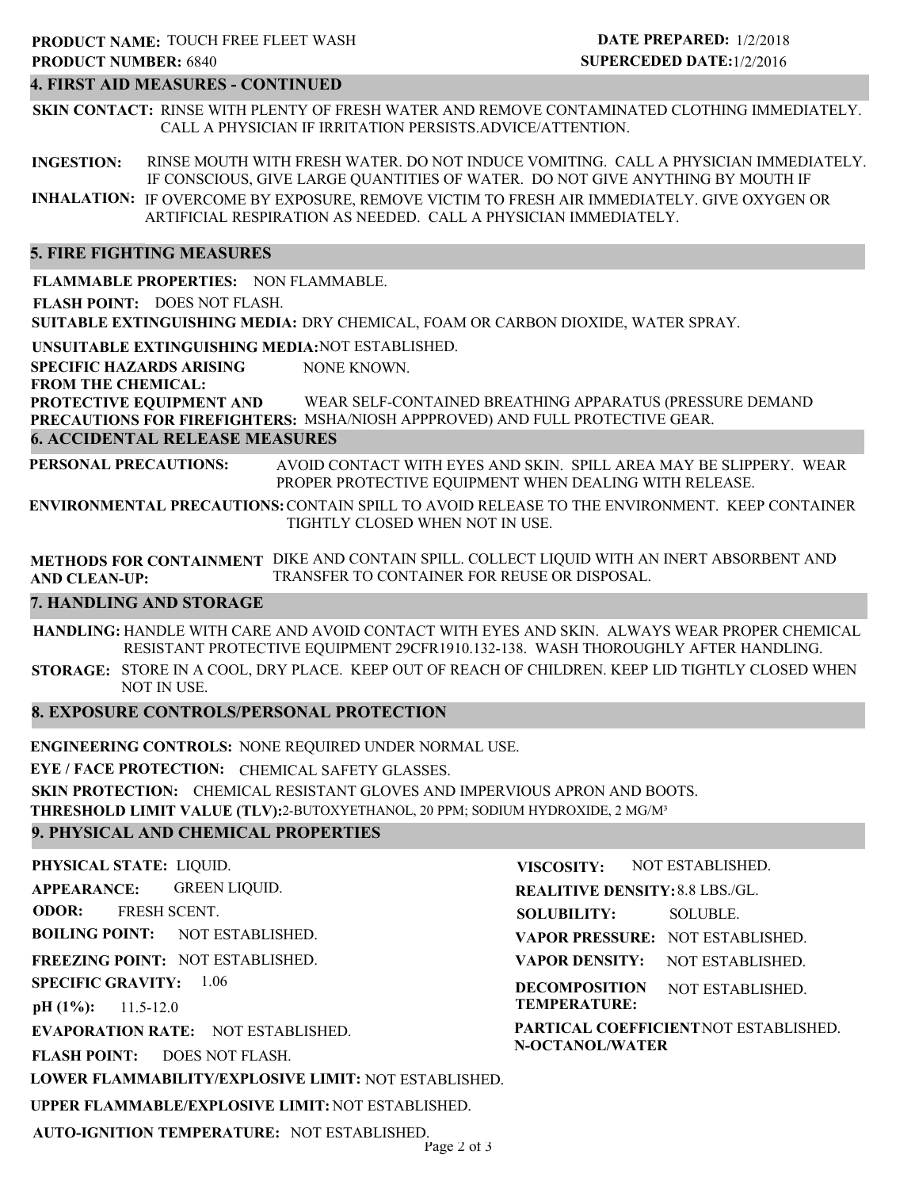#### **4. FIRST AID MEASURES - CONTINUED**

**SKIN CONTACT:** RINSE WITH PLENTY OF FRESH WATER AND REMOVE CONTAMINATED CLOTHING IMMEDIATELY. CALL A PHYSICIAN IF IRRITATION PERSISTS.ADVICE/ATTENTION.

**INGESTION: INHALATION:** IF OVERCOME BY EXPOSURE, REMOVE VICTIM TO FRESH AIR IMMEDIATELY. GIVE OXYGEN OR ARTIFICIAL RESPIRATION AS NEEDED. CALL A PHYSICIAN IMMEDIATELY. RINSE MOUTH WITH FRESH WATER. DO NOT INDUCE VOMITING. CALL A PHYSICIAN IMMEDIATELY. IF CONSCIOUS, GIVE LARGE QUANTITIES OF WATER. DO NOT GIVE ANYTHING BY MOUTH IF

#### **5. FIRE FIGHTING MEASURES**

**FLAMMABLE PROPERTIES:** NON FLAMMABLE. **FLASH POINT:** DOES NOT FLASH.

**SUITABLE EXTINGUISHING MEDIA:** DRY CHEMICAL, FOAM OR CARBON DIOXIDE, WATER SPRAY.

**UNSUITABLE EXTINGUISHING MEDIA:** NOT ESTABLISHED.

**SPECIFIC HAZARDS ARISING** NONE KNOWN.

**FROM THE CHEMICAL:**

**PROTECTIVE EQUIPMENT AND PRECAUTIONS FOR FIREFIGHTERS:** MSHA/NIOSH APPPROVED) AND FULL PROTECTIVE GEAR. WEAR SELF-CONTAINED BREATHING APPARATUS (PRESSURE DEMAND

#### **6. ACCIDENTAL RELEASE MEASURES**

**PERSONAL PRECAUTIONS:** AVOID CONTACT WITH EYES AND SKIN. SPILL AREA MAY BE SLIPPERY. WEAR PROPER PROTECTIVE EQUIPMENT WHEN DEALING WITH RELEASE.

**ENVIRONMENTAL PRECAUTIONS:** CONTAIN SPILL TO AVOID RELEASE TO THE ENVIRONMENT. KEEP CONTAINER TIGHTLY CLOSED WHEN NOT IN USE.

**METHODS FOR CONTAINMENT** DIKE AND CONTAIN SPILL. COLLECT LIQUID WITH AN INERT ABSORBENT AND **AND CLEAN-UP:** TRANSFER TO CONTAINER FOR REUSE OR DISPOSAL.

#### **7. HANDLING AND STORAGE**

**HANDLING:** HANDLE WITH CARE AND AVOID CONTACT WITH EYES AND SKIN. ALWAYS WEAR PROPER CHEMICAL RESISTANT PROTECTIVE EQUIPMENT 29CFR1910.132-138. WASH THOROUGHLY AFTER HANDLING.

 $\bf STORAGE: \,\,\, STORE IN A COOL, DRY PLACE. \,\,\, KEEP OUT OF REACH OF CHILDREN. \,\, KEEP LID TIGHTLY CLOSED WHEN.$ NOT IN USE.

#### **8. EXPOSURE CONTROLS/PERSONAL PROTECTION**

**ENGINEERING CONTROLS: NONE REQUIRED UNDER NORMAL USE.** 

**EYE / FACE PROTECTION:** CHEMICAL SAFETY GLASSES.

**SKIN PROTECTION:** CHEMICAL RESISTANT GLOVES AND IMPERVIOUS APRON AND BOOTS.

**THRESHOLD LIMIT VALUE (TLV):**2-BUTOXYETHANOL, 20 PPM; SODIUM HYDROXIDE, 2 MG/M³

## **9. PHYSICAL AND CHEMICAL PROPERTIES**

**PHYSICAL STATE:** LIQUID. **APPEARANCE:** GREEN LIQUID.

**ODOR:** FRESH SCENT.

**BOILING POINT:** NOT ESTABLISHED.

**FREEZING POINT:** NOT ESTABLISHED.

**SPECIFIC GRAVITY:** 1.06

**pH (1%):** 11.5-12.0

**EVAPORATION RATE:** NOT ESTABLISHED.

**FLASH POINT:** DOES NOT FLASH. **VISCOSITY: REALITIVE DENSITY:** 8.8 LBS./GL. **SOLUBILITY: VAPOR PRESSURE:** NOT ESTABLISHED. **VAPOR DENSITY: DECOMPOSITION TEMPERATURE:** NOT ESTABLISHED. SOLUBLE. NOT ESTABLISHED. NOT ESTABLISHED.

PARTICAL COEFFICIENTNOT ESTABLISHED. **N-OCTANOL/WATER**

**LOWER FLAMMABILITY/EXPLOSIVE LIMIT:** NOT ESTABLISHED.

**UPPER FLAMMABLE/EXPLOSIVE LIMIT:** NOT ESTABLISHED.

**AUTO-IGNITION TEMPERATURE:** NOT ESTABLISHED.